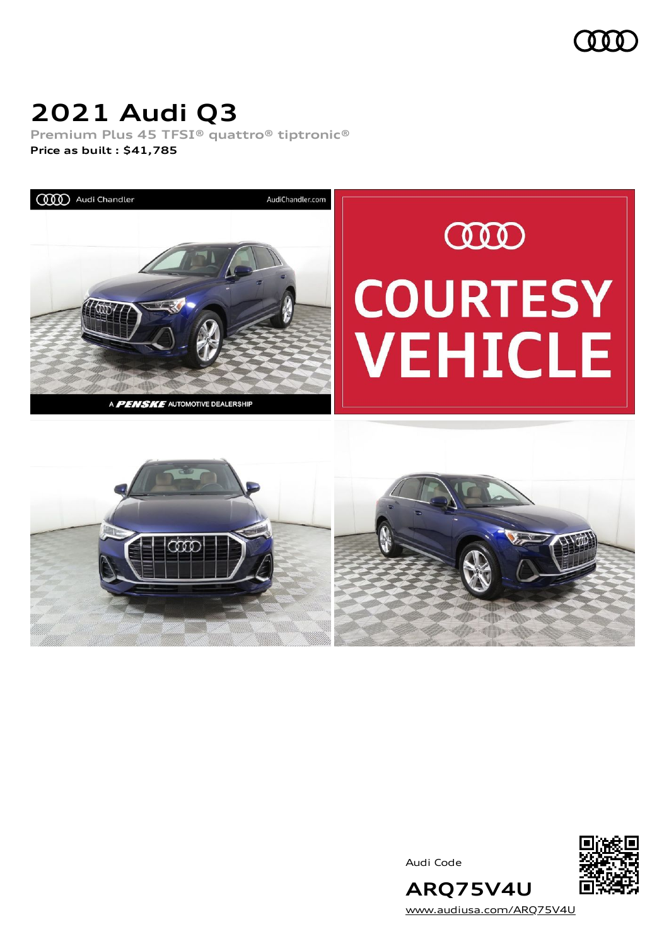

## **2021 Audi Q3**

**Premium Plus 45 TFSI® quattro® tiptronic® Price as built [:](#page-10-0) \$41,785**



Audi Code



[www.audiusa.com/ARQ75V4U](https://www.audiusa.com/ARQ75V4U)

**ARQ75V4U**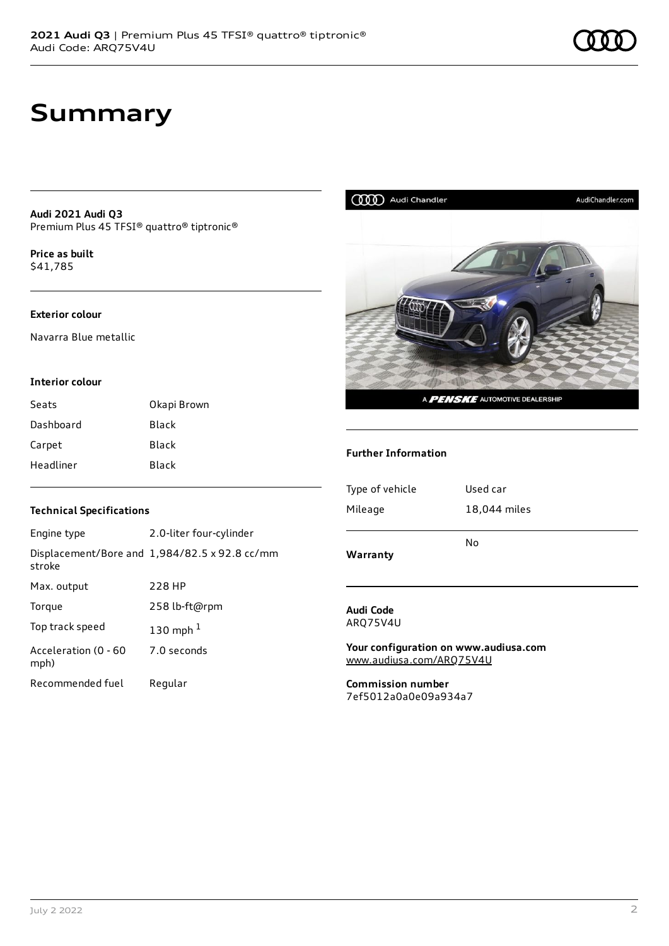**Audi 2021 Audi Q3** Premium Plus 45 TFSI® quattro® tiptronic®

**Price as buil[t](#page-10-0)** \$41,785

### **Exterior colour**

Navarra Blue metallic

#### **Interior colour**

| Seats     | Okapi Brown  |
|-----------|--------------|
| Dashboard | <b>Black</b> |
| Carpet    | Black        |
| Headliner | Black        |

### **Technical Specifications**

| Engine type                  | 2.0-liter four-cylinder                              |
|------------------------------|------------------------------------------------------|
| stroke                       | Displacement/Bore and $1,984/82.5 \times 92.8$ cc/mm |
| Max. output                  | 228 HP                                               |
| Torque                       | 258 lb-ft@rpm                                        |
| Top track speed              | 130 mph $1$                                          |
| Acceleration (0 - 60<br>mph) | 7.0 seconds                                          |
| Recommended fuel             | Regular                                              |



#### **Audi Code** ARQ75V4U

**Your configuration on www.audiusa.com** [www.audiusa.com/ARQ75V4U](https://www.audiusa.com/ARQ75V4U)

**Commission number** 7ef5012a0a0e09a934a7

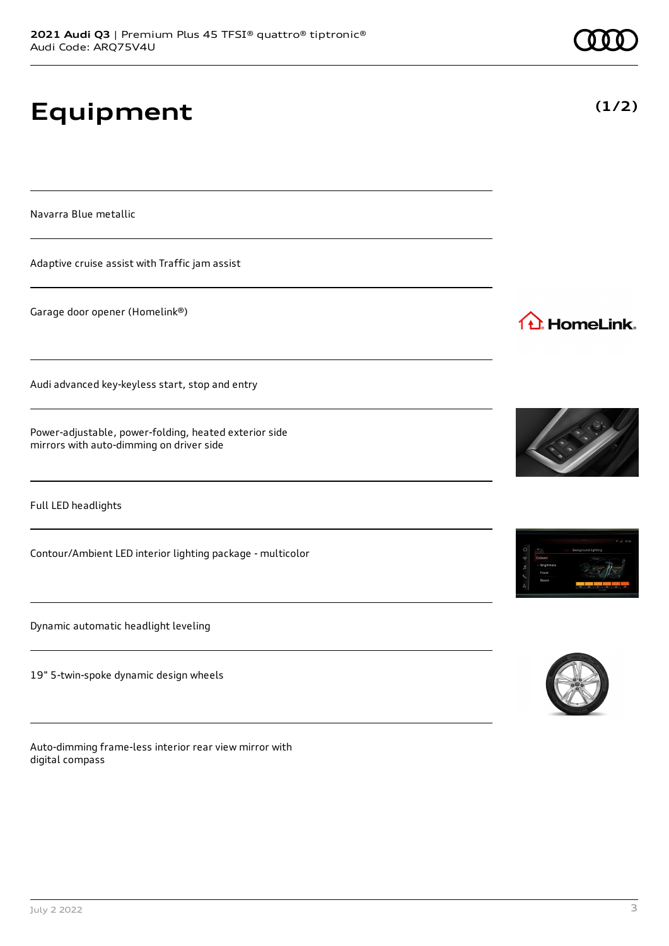# **Equipment**

Navarra Blue metallic

Adaptive cruise assist with Traffic jam assist

Garage door opener (Homelink®)

Audi advanced key-keyless start, stop and entry

Power-adjustable, power-folding, heated exterior side mirrors with auto-dimming on driver side

Full LED headlights

Contour/Ambient LED interior lighting package - multicolor

Dynamic automatic headlight leveling

19" 5-twin-spoke dynamic design wheels

Auto-dimming frame-less interior rear view mirror with digital compass



1<sup>1</sup> HomeLink.





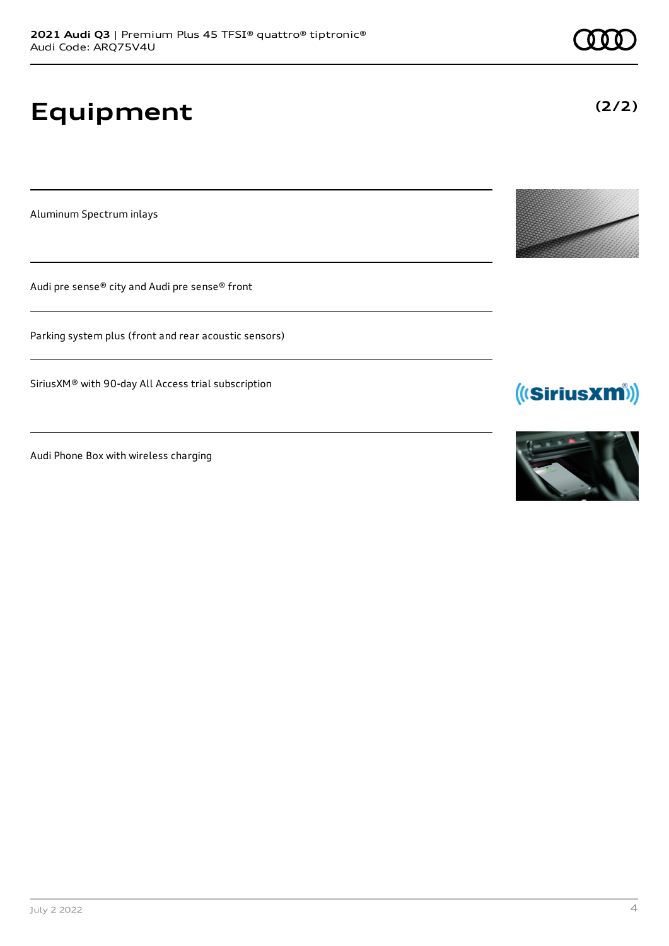# **Equipment**

Aluminum Spectrum inlays

Audi pre sense® city and Audi pre sense® front

Parking system plus (front and rear acoustic sensors)

SiriusXM® with 90-day All Access trial subscription

Audi Phone Box with wireless charging







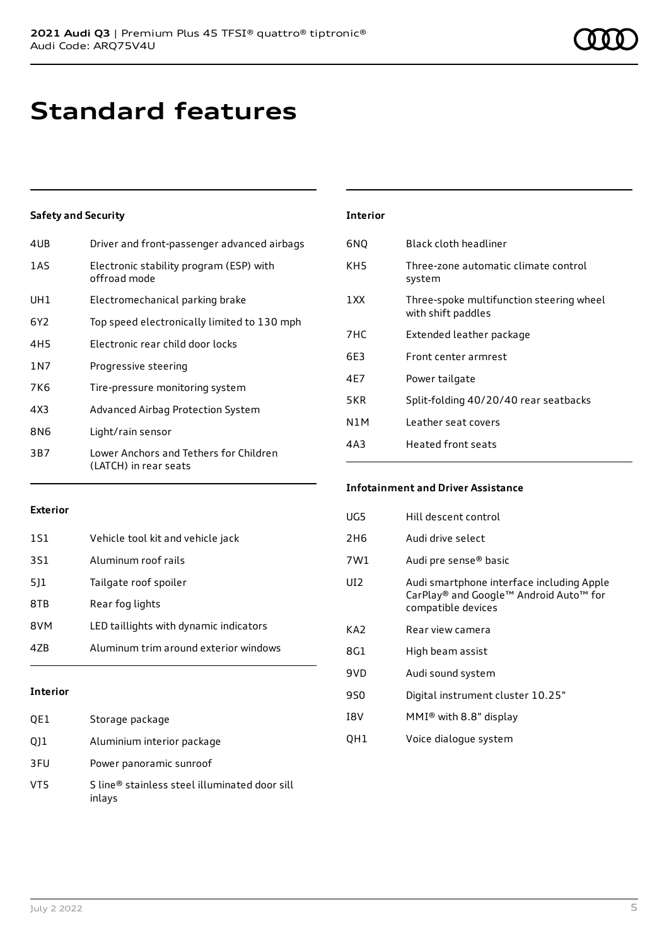## **Standard features**

### **Safety and Security**

| 4UB   | Driver and front-passenger advanced airbags                     |
|-------|-----------------------------------------------------------------|
| 1AS   | Electronic stability program (ESP) with<br>offroad mode         |
| UH1   | Electromechanical parking brake                                 |
| 6Y2   | Top speed electronically limited to 130 mph                     |
| 4H5   | Electronic rear child door locks                                |
| 1 N 7 | Progressive steering                                            |
| 7K6   | Tire-pressure monitoring system                                 |
| 4X3   | Advanced Airbag Protection System                               |
| 8N6   | Light/rain sensor                                               |
| 3B7   | Lower Anchors and Tethers for Children<br>(LATCH) in rear seats |

| <b>Interior</b> |                                                                |
|-----------------|----------------------------------------------------------------|
| 6NQ             | Black cloth headliner                                          |
| KH5             | Three-zone automatic climate control<br>system                 |
| 1 X X           | Three-spoke multifunction steering wheel<br>with shift paddles |
| 7HC             | Extended leather package                                       |
| 6F3             | Front center armrest                                           |
| 4F7             | Power tailgate                                                 |
| 5KR             | Split-folding 40/20/40 rear seatbacks                          |
| N1M             | Leather seat covers                                            |
| 4A3             | <b>Heated front seats</b>                                      |

### **Exterior**

| 1S1 | Vehicle tool kit and vehicle jack      |
|-----|----------------------------------------|
| 3S1 | Aluminum roof rails                    |
| 5]1 | Tailgate roof spoiler                  |
| 8TB | Rear fog lights                        |
| 8VM | LED taillights with dynamic indicators |
| 47R | Aluminum trim around exterior windows  |
|     |                                        |

### **Interior**

| QE1 | Storage package                                         |
|-----|---------------------------------------------------------|
| Q11 | Aluminium interior package                              |
| 3FU | Power panoramic sunroof                                 |
| VT5 | S line® stainless steel illuminated door sill<br>inlays |

### **Infotainment and Driver Assistance**

| UG5        | Hill descent control                                                                                      |
|------------|-----------------------------------------------------------------------------------------------------------|
| 2H6        | Audi drive select                                                                                         |
| 7W1        | Audi pre sense <sup>®</sup> basic                                                                         |
| UI2        | Audi smartphone interface including Apple<br>CarPlay® and Google™ Android Auto™ for<br>compatible devices |
| KA2        | Rear view camera                                                                                          |
| 8G1        | High beam assist                                                                                          |
| 9VD        | Audi sound system                                                                                         |
| 9S0        | Digital instrument cluster 10.25"                                                                         |
| <b>TRV</b> | MMI <sup>®</sup> with 8.8" display                                                                        |
| OH1        | Voice dialogue system                                                                                     |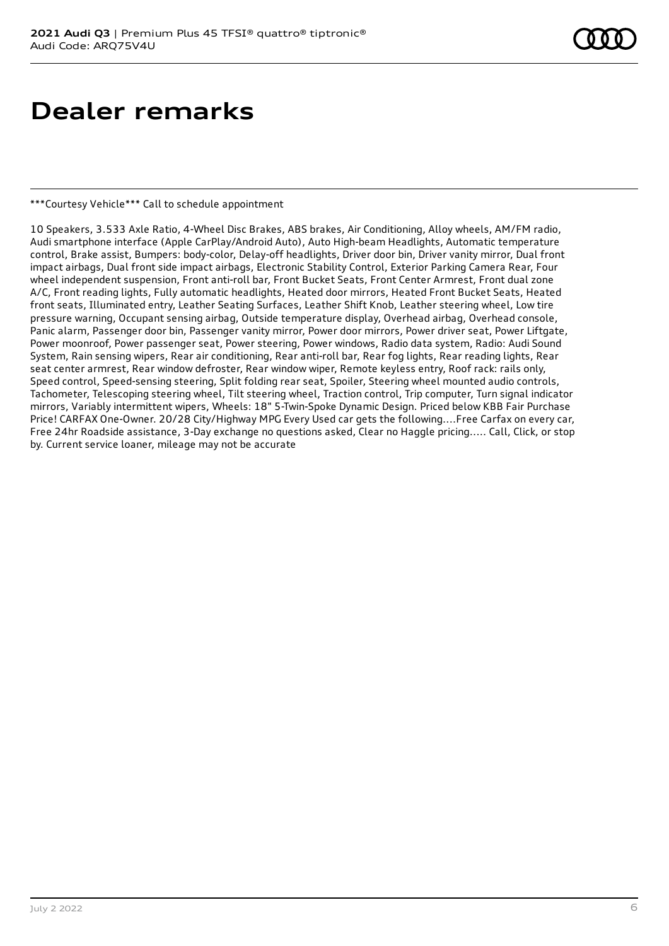## **Dealer remarks**

\*\*\*Courtesy Vehicle\*\*\* Call to schedule appointment

10 Speakers, 3.533 Axle Ratio, 4-Wheel Disc Brakes, ABS brakes, Air Conditioning, Alloy wheels, AM/FM radio, Audi smartphone interface (Apple CarPlay/Android Auto), Auto High-beam Headlights, Automatic temperature control, Brake assist, Bumpers: body-color, Delay-off headlights, Driver door bin, Driver vanity mirror, Dual front impact airbags, Dual front side impact airbags, Electronic Stability Control, Exterior Parking Camera Rear, Four wheel independent suspension, Front anti-roll bar, Front Bucket Seats, Front Center Armrest, Front dual zone A/C, Front reading lights, Fully automatic headlights, Heated door mirrors, Heated Front Bucket Seats, Heated front seats, Illuminated entry, Leather Seating Surfaces, Leather Shift Knob, Leather steering wheel, Low tire pressure warning, Occupant sensing airbag, Outside temperature display, Overhead airbag, Overhead console, Panic alarm, Passenger door bin, Passenger vanity mirror, Power door mirrors, Power driver seat, Power Liftgate, Power moonroof, Power passenger seat, Power steering, Power windows, Radio data system, Radio: Audi Sound System, Rain sensing wipers, Rear air conditioning, Rear anti-roll bar, Rear fog lights, Rear reading lights, Rear seat center armrest, Rear window defroster, Rear window wiper, Remote keyless entry, Roof rack: rails only, Speed control, Speed-sensing steering, Split folding rear seat, Spoiler, Steering wheel mounted audio controls, Tachometer, Telescoping steering wheel, Tilt steering wheel, Traction control, Trip computer, Turn signal indicator mirrors, Variably intermittent wipers, Wheels: 18" 5-Twin-Spoke Dynamic Design. Priced below KBB Fair Purchase Price! CARFAX One-Owner. 20/28 City/Highway MPG Every Used car gets the following....Free Carfax on every car, Free 24hr Roadside assistance, 3-Day exchange no questions asked, Clear no Haggle pricing..... Call, Click, or stop by. Current service loaner, mileage may not be accurate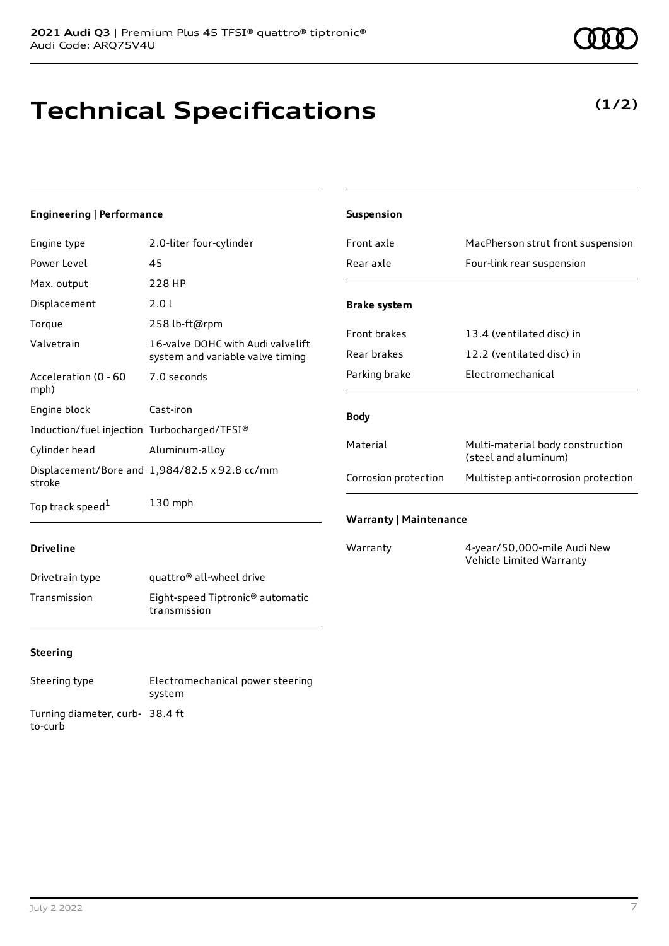## **Technical Specifications**

### **(1/2)**

### **Engineering | Performance**

| Engine type                                 | 2.0-liter four-cylinder                                               |
|---------------------------------------------|-----------------------------------------------------------------------|
| Power Level                                 | 45                                                                    |
| Max. output                                 | 228 HP                                                                |
| Displacement                                | 2.0 L                                                                 |
| Torque                                      | 258 lb-ft@rpm                                                         |
| Valvetrain                                  | 16-valve DOHC with Audi valvelift<br>system and variable valve timing |
| Acceleration (0 - 60<br>mph)                | 7.0 seconds                                                           |
| Engine block                                | Cast-iron                                                             |
| Induction/fuel injection Turbocharged/TFSI® |                                                                       |
| Cylinder head                               | Aluminum-alloy                                                        |
| stroke                                      | Displacement/Bore and 1,984/82.5 x 92.8 cc/mm                         |
| Top track speed <sup>1</sup>                | $130$ mph                                                             |

| <b>Suspension</b>             |                                                          |
|-------------------------------|----------------------------------------------------------|
| Front axle                    | MacPherson strut front suspension                        |
| Rear axle                     | Four-link rear suspension                                |
| <b>Brake system</b>           |                                                          |
| <b>Front brakes</b>           | 13.4 (ventilated disc) in                                |
| Rear brakes                   | 12.2 (ventilated disc) in                                |
| Parking brake                 | Flectromechanical                                        |
| <b>Body</b>                   |                                                          |
| Material                      | Multi-material body construction<br>(steel and aluminum) |
| Corrosion protection          | Multistep anti-corrosion protection                      |
| <b>Warranty   Maintenance</b> |                                                          |
| Warranty                      | 4-year/50,000-mile Audi New                              |

Vehicle Limited Warranty

### **Driveline**

| Drivetrain type | quattro <sup>®</sup> all-wheel drive                         |
|-----------------|--------------------------------------------------------------|
| Transmission    | Eight-speed Tiptronic <sup>®</sup> automatic<br>transmission |

### **Steering**

Steering type Electromechanical power steering system Turning diameter, curb-38.4 ft to-curb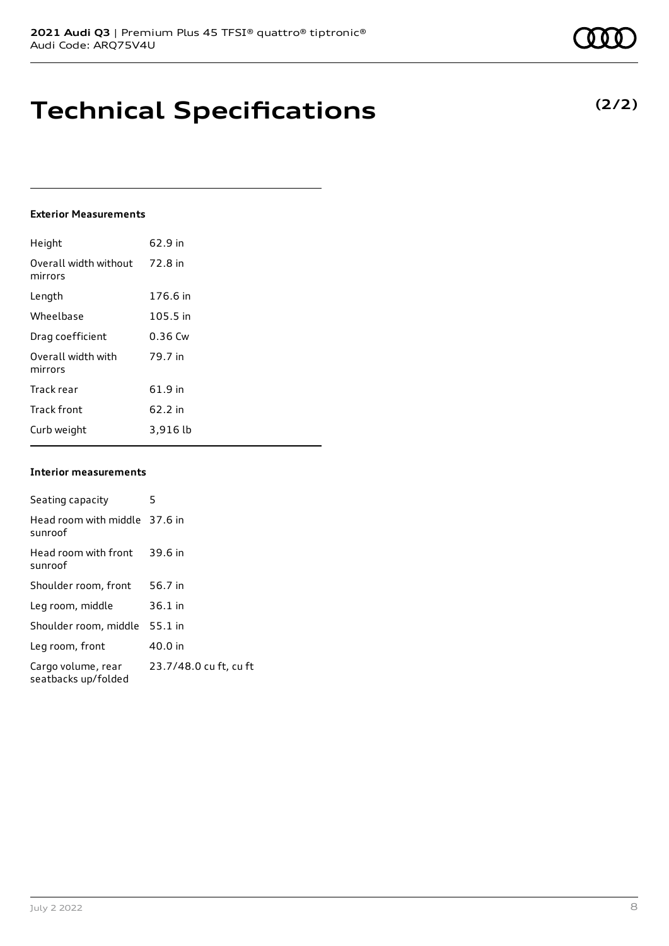### **Technical Specifications**

#### **Exterior Measurements**

| Height                           | 62.9 in   |
|----------------------------------|-----------|
| Overall width without<br>mirrors | 72.8 in   |
| Length                           | 176.6 in  |
| Wheelbase                        | 105.5 in  |
| Drag coefficient                 | $0.36$ Cw |
| Overall width with<br>mirrors    | 79.7 in   |
| Track rear                       | 61.9 in   |
| <b>Track front</b>               | 62.2 in   |
| Curb weight                      | 3,916 lb  |

### **Interior measurements**

| Seating capacity                          | 5                      |
|-------------------------------------------|------------------------|
| Head room with middle 37.6 in<br>sunroof  |                        |
| Head room with front<br>sunroof           | 39.6 in                |
| Shoulder room, front                      | 56.7 in                |
| Leg room, middle                          | $36.1$ in              |
| Shoulder room, middle                     | $55.1$ in              |
| Leg room, front                           | 40.0 in                |
| Cargo volume, rear<br>seatbacks up/folded | 23.7/48.0 cu ft, cu ft |

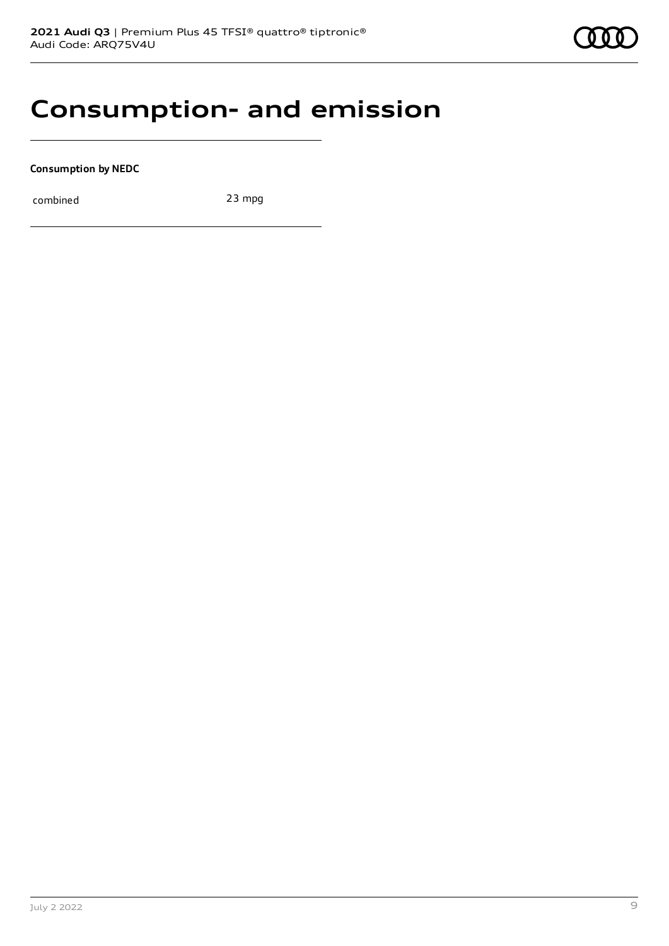

### **Consumption- and emission**

**Consumption by NEDC**

combined 23 mpg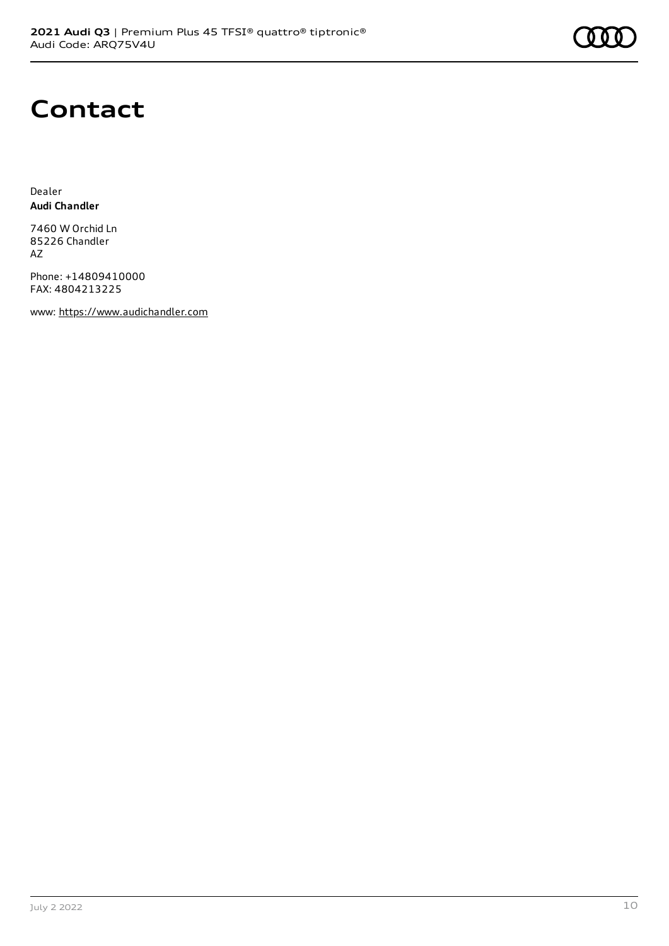

## **Contact**

Dealer **Audi Chandler**

7460 W Orchid Ln 85226 Chandler AZ

Phone: +14809410000 FAX: 4804213225

www: [https://www.audichandler.com](https://www.audichandler.com/)